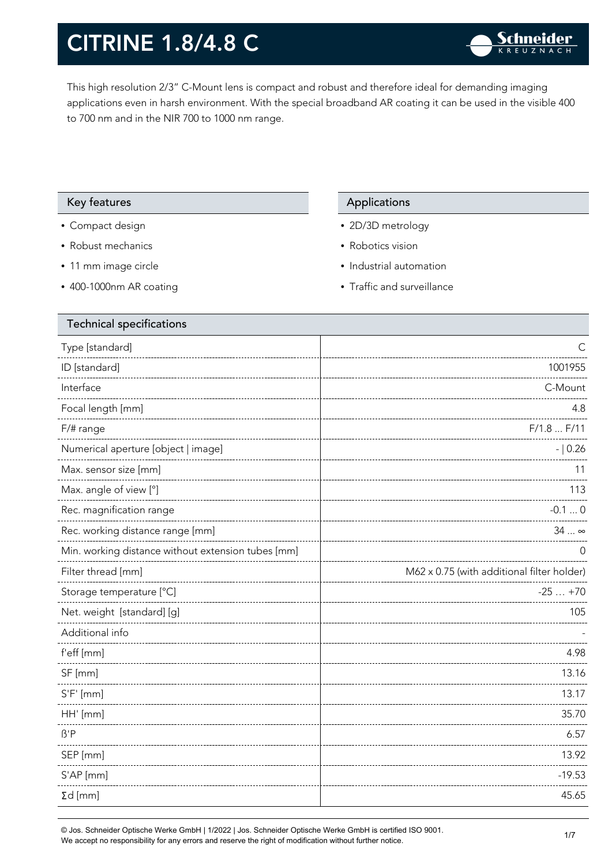This high resolution 2/3" C-Mount lens is compact and robust and therefore ideal for demanding imaging applications even in harsh environment. With the special broadband AR coating it can be used in the visible 400 to 700 nm and in the NIR 700 to 1000 nm range.

#### Key features Applications Applications

- Compact design
- Robust mechanics
- 11 mm image circle
- 400-1000nm AR coating

- 2D/3D metrology
- Robotics vision
- Industrial automation
- Traffic and surveillance

| <b>Technical specifications</b>                    |                                            |
|----------------------------------------------------|--------------------------------------------|
| Type [standard]                                    | C                                          |
| ID [standard]                                      | 1001955                                    |
| Interface                                          | C-Mount                                    |
| Focal length [mm]                                  | 4.8                                        |
| $F/\#$ range                                       | F/1.8  F/11                                |
| Numerical aperture [object   image]                | $- 0.26$                                   |
| Max. sensor size [mm]                              | 11                                         |
| Max. angle of view [°]                             | 113                                        |
| Rec. magnification range                           | $-0.10$                                    |
| Rec. working distance range [mm]                   | 34  ∞                                      |
| Min. working distance without extension tubes [mm] | O                                          |
| Filter thread [mm]                                 | M62 x 0.75 (with additional filter holder) |
| Storage temperature [°C]                           | $-25+70$                                   |
| Net. weight [standard] [g]                         | 105                                        |
| Additional info                                    |                                            |
| f'eff [mm]                                         | 4.98                                       |
| SF [mm]                                            | 13.16                                      |
| $S'F'$ [mm]                                        | 13.17                                      |
| HH' [mm]                                           | 35.70                                      |
| $\beta'$ P                                         | 6.57                                       |
| SEP [mm]                                           | 13.92                                      |
| S'AP [mm]                                          | $-19.53$                                   |
| $\Sigma d$ [mm]                                    | 45.65                                      |
|                                                    |                                            |

© Jos. Schneider Optische Werke GmbH | 1/2022 | Jos. Schneider Optische Werke GmbH is certified ISO 9001. We accept no responsibility for any errors and reserve the right of modification without further notice.<br>We accept no responsibility for any errors and reserve the right of modification without further notice.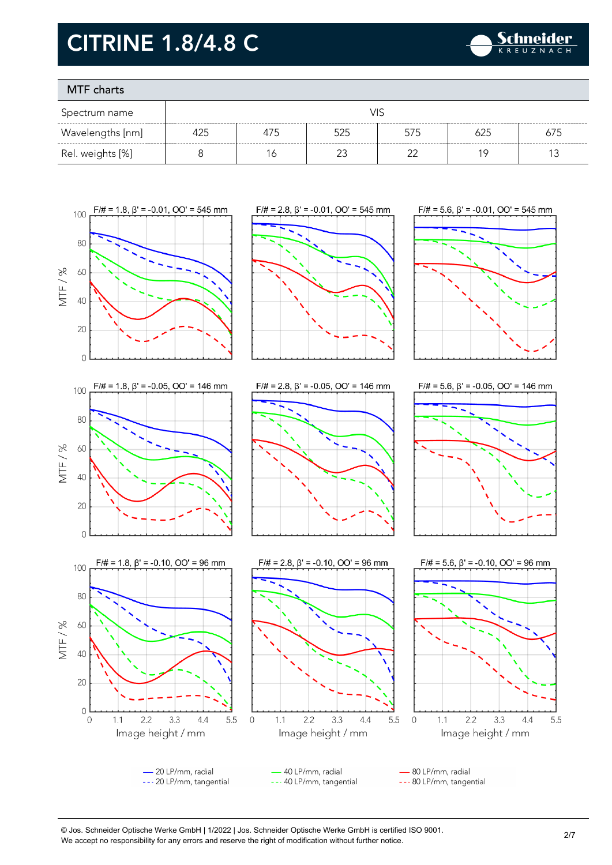

### MTF charts

 $\overline{O}$ 

0

 $1.1$ 

 $2.2$ 

 $3.3$ 

Image height / mm

 $4.4$ 

5.5

 $\mathbf 0$ 

| Spectrum name    |     |     |          |     |     |     |
|------------------|-----|-----|----------|-----|-----|-----|
| Wavelengths [nm] | 425 | 475 | 525      | 575 | 625 | 675 |
| Rel. weights [%] |     |     | <u>_</u> | ົ   | 1 C |     |













 $1.1$ 

 $2.2$ 

3.3

Image height / mm

 $4.4$ 

© Jos. Schneider Optische Werke GmbH | 1/2022 | Jos. Schneider Optische Werke GmbH is certified ISO 9001. We accept no responsibility for any errors and reserve the right of modification without further notice.<br>We accept no responsibility for any errors and reserve the right of modification without further notice.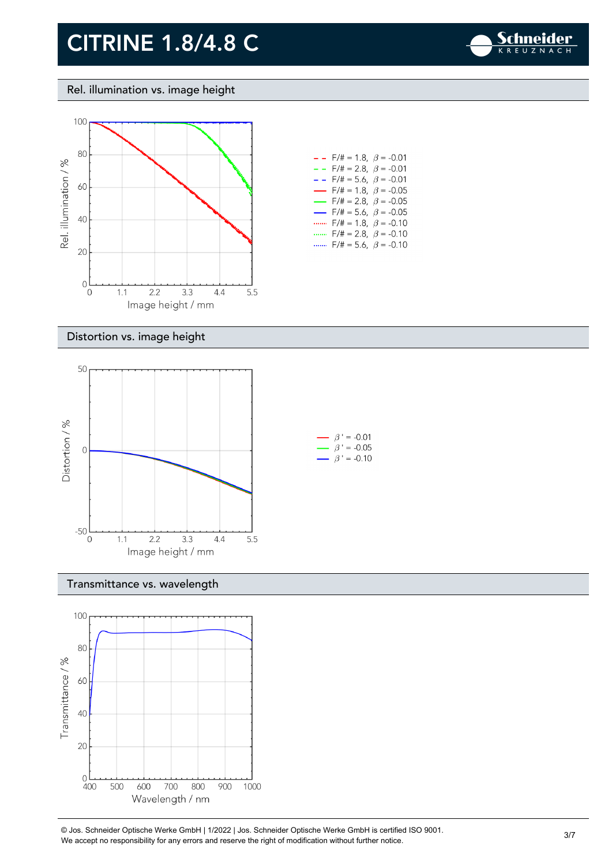

#### Rel. illumination vs. image height



| $- -$ F/# = 1.8, $\beta$ = -0.01         |  |
|------------------------------------------|--|
| $- -$ F/# = 2.8, $\beta$ = -0.01         |  |
| $- -$ F/# = 5.6, $\beta$ = -0.01         |  |
| $\rightarrow$ F/# = 1.8, $\beta$ = -0.05 |  |
| $\rightarrow$ F/# = 2.8, $\beta$ = -0.05 |  |
| $\rightarrow$ F/# = 5.6, $\beta$ = -0.05 |  |
| $F/\ddot{=} = 1.8, \ \beta = -0.10$      |  |
| F/# = 2.8, $\beta$ = -0.10               |  |
| $F/\ddot{=} = 5.6$ , $\beta = -0.10$     |  |

#### Distortion vs. image height



#### Transmittance vs. wavelength



© Jos. Schneider Optische Werke GmbH | 1/2022 | Jos. Schneider Optische Werke GmbH is certified ISO 9001.  $\degree$  Jos. Scrinelder Opuscrie werke Grildri | 1/2022 | Jos. Scrinelder Opuscrie werke Grildri is certuled ISO 9001.<br>We accept no responsibility for any errors and reserve the right of modification without further notice.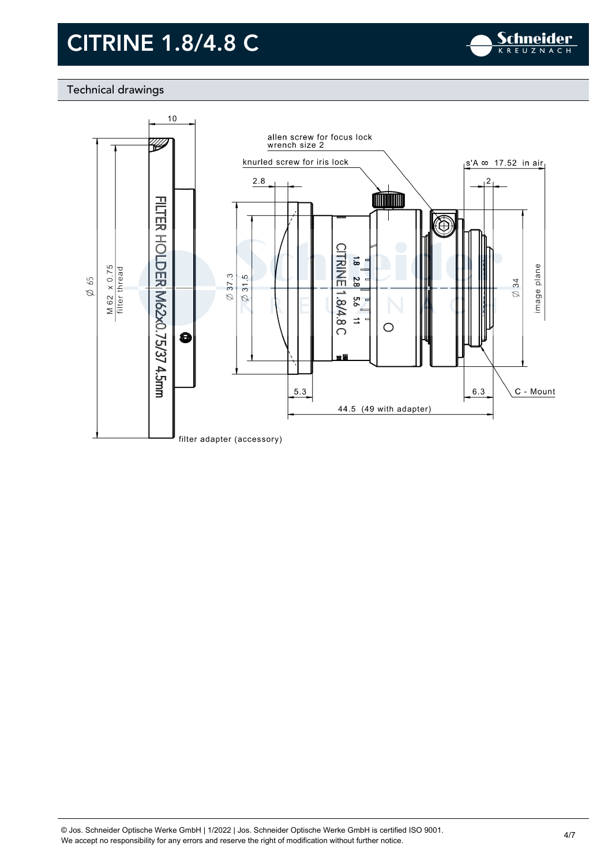

### Technical drawings

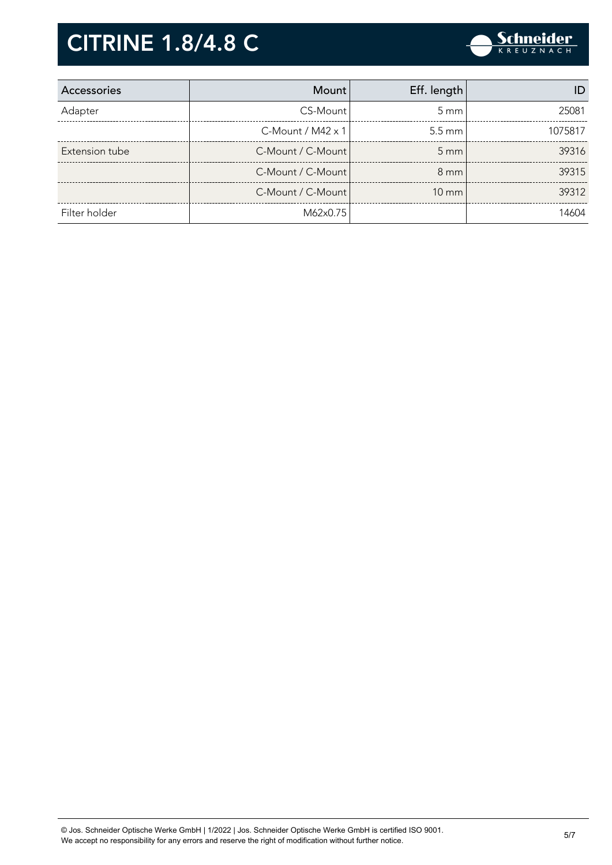

| Accessories    | <b>Mount</b>             | Eff. length      |         |
|----------------|--------------------------|------------------|---------|
| Adapter        | CS-Mount                 | $5 \text{ mm}$   | 25081   |
|                | C-Mount / $M42 \times 1$ | $5.5 \text{ mm}$ | 1075817 |
| Extension tube | C-Mount / C-Mount        | $5 \text{ mm}$   | 39316   |
|                | C-Mount / C-Mount        | $8 \text{ mm}$   | 39315   |
|                | C-Mount / C-Mount        | $10 \text{ mm}$  | 39312   |
| Filter holder  | M62x0.75                 |                  | 14604   |